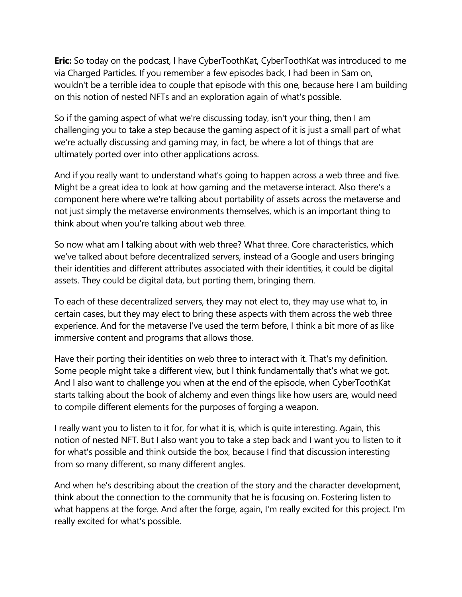**Eric:** So today on the podcast, I have CyberToothKat, CyberToothKat was introduced to me via Charged Particles. If you remember a few episodes back, I had been in Sam on, wouldn't be a terrible idea to couple that episode with this one, because here I am building on this notion of nested NFTs and an exploration again of what's possible.

So if the gaming aspect of what we're discussing today, isn't your thing, then I am challenging you to take a step because the gaming aspect of it is just a small part of what we're actually discussing and gaming may, in fact, be where a lot of things that are ultimately ported over into other applications across.

And if you really want to understand what's going to happen across a web three and five. Might be a great idea to look at how gaming and the metaverse interact. Also there's a component here where we're talking about portability of assets across the metaverse and not just simply the metaverse environments themselves, which is an important thing to think about when you're talking about web three.

So now what am I talking about with web three? What three. Core characteristics, which we've talked about before decentralized servers, instead of a Google and users bringing their identities and different attributes associated with their identities, it could be digital assets. They could be digital data, but porting them, bringing them.

To each of these decentralized servers, they may not elect to, they may use what to, in certain cases, but they may elect to bring these aspects with them across the web three experience. And for the metaverse I've used the term before, I think a bit more of as like immersive content and programs that allows those.

Have their porting their identities on web three to interact with it. That's my definition. Some people might take a different view, but I think fundamentally that's what we got. And I also want to challenge you when at the end of the episode, when CyberToothKat starts talking about the book of alchemy and even things like how users are, would need to compile different elements for the purposes of forging a weapon.

I really want you to listen to it for, for what it is, which is quite interesting. Again, this notion of nested NFT. But I also want you to take a step back and I want you to listen to it for what's possible and think outside the box, because I find that discussion interesting from so many different, so many different angles.

And when he's describing about the creation of the story and the character development, think about the connection to the community that he is focusing on. Fostering listen to what happens at the forge. And after the forge, again, I'm really excited for this project. I'm really excited for what's possible.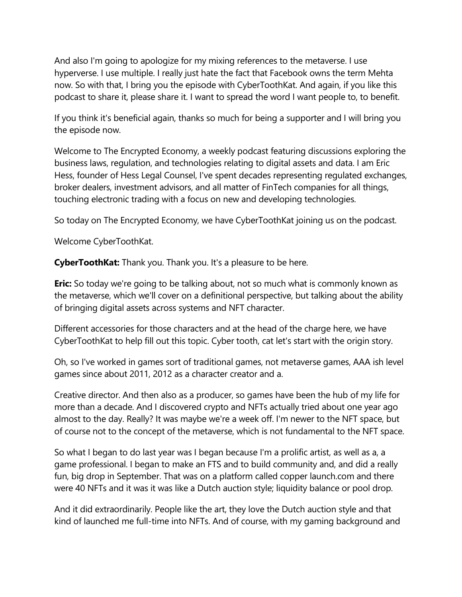And also I'm going to apologize for my mixing references to the metaverse. I use hyperverse. I use multiple. I really just hate the fact that Facebook owns the term Mehta now. So with that, I bring you the episode with CyberToothKat. And again, if you like this podcast to share it, please share it. I want to spread the word I want people to, to benefit.

If you think it's beneficial again, thanks so much for being a supporter and I will bring you the episode now.

Welcome to The Encrypted Economy, a weekly podcast featuring discussions exploring the business laws, regulation, and technologies relating to digital assets and data. I am Eric Hess, founder of Hess Legal Counsel, I've spent decades representing regulated exchanges, broker dealers, investment advisors, and all matter of FinTech companies for all things, touching electronic trading with a focus on new and developing technologies.

So today on The Encrypted Economy, we have CyberToothKat joining us on the podcast.

Welcome CyberToothKat.

**CyberToothKat:** Thank you. Thank you. It's a pleasure to be here.

**Eric:** So today we're going to be talking about, not so much what is commonly known as the metaverse, which we'll cover on a definitional perspective, but talking about the ability of bringing digital assets across systems and NFT character.

Different accessories for those characters and at the head of the charge here, we have CyberToothKat to help fill out this topic. Cyber tooth, cat let's start with the origin story.

Oh, so I've worked in games sort of traditional games, not metaverse games, AAA ish level games since about 2011, 2012 as a character creator and a.

Creative director. And then also as a producer, so games have been the hub of my life for more than a decade. And I discovered crypto and NFTs actually tried about one year ago almost to the day. Really? It was maybe we're a week off. I'm newer to the NFT space, but of course not to the concept of the metaverse, which is not fundamental to the NFT space.

So what I began to do last year was I began because I'm a prolific artist, as well as a, a game professional. I began to make an FTS and to build community and, and did a really fun, big drop in September. That was on a platform called copper launch.com and there were 40 NFTs and it was it was like a Dutch auction style; liquidity balance or pool drop.

And it did extraordinarily. People like the art, they love the Dutch auction style and that kind of launched me full-time into NFTs. And of course, with my gaming background and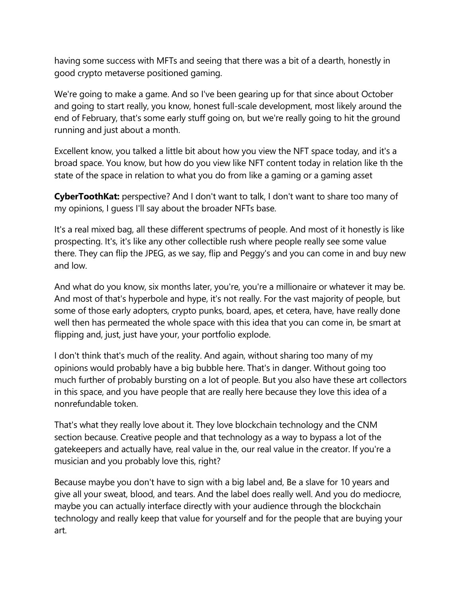having some success with MFTs and seeing that there was a bit of a dearth, honestly in good crypto metaverse positioned gaming.

We're going to make a game. And so I've been gearing up for that since about October and going to start really, you know, honest full-scale development, most likely around the end of February, that's some early stuff going on, but we're really going to hit the ground running and just about a month.

Excellent know, you talked a little bit about how you view the NFT space today, and it's a broad space. You know, but how do you view like NFT content today in relation like th the state of the space in relation to what you do from like a gaming or a gaming asset

**CyberToothKat:** perspective? And I don't want to talk, I don't want to share too many of my opinions, I guess I'll say about the broader NFTs base.

It's a real mixed bag, all these different spectrums of people. And most of it honestly is like prospecting. It's, it's like any other collectible rush where people really see some value there. They can flip the JPEG, as we say, flip and Peggy's and you can come in and buy new and low.

And what do you know, six months later, you're, you're a millionaire or whatever it may be. And most of that's hyperbole and hype, it's not really. For the vast majority of people, but some of those early adopters, crypto punks, board, apes, et cetera, have, have really done well then has permeated the whole space with this idea that you can come in, be smart at flipping and, just, just have your, your portfolio explode.

I don't think that's much of the reality. And again, without sharing too many of my opinions would probably have a big bubble here. That's in danger. Without going too much further of probably bursting on a lot of people. But you also have these art collectors in this space, and you have people that are really here because they love this idea of a nonrefundable token.

That's what they really love about it. They love blockchain technology and the CNM section because. Creative people and that technology as a way to bypass a lot of the gatekeepers and actually have, real value in the, our real value in the creator. If you're a musician and you probably love this, right?

Because maybe you don't have to sign with a big label and, Be a slave for 10 years and give all your sweat, blood, and tears. And the label does really well. And you do mediocre, maybe you can actually interface directly with your audience through the blockchain technology and really keep that value for yourself and for the people that are buying your art.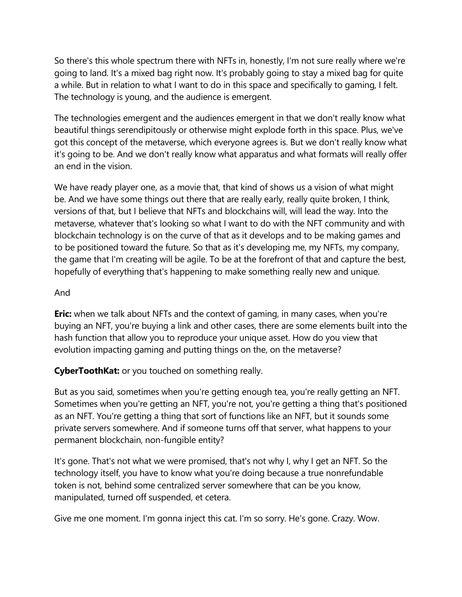So there's this whole spectrum there with NFTs in, honestly, I'm not sure really where we're going to land. It's a mixed bag right now. It's probably going to stay a mixed bag for quite a while. But in relation to what I want to do in this space and specifically to gaming, I felt. The technology is young, and the audience is emergent.

The technologies emergent and the audiences emergent in that we don't really know what beautiful things serendipitously or otherwise might explode forth in this space. Plus, we've got this concept of the metaverse, which everyone agrees is. But we don't really know what it's going to be. And we don't really know what apparatus and what formats will really offer an end in the vision.

We have ready player one, as a movie that, that kind of shows us a vision of what might be. And we have some things out there that are really early, really quite broken, I think, versions of that, but I believe that NFTs and blockchains will, will lead the way. Into the metaverse, whatever that's looking so what I want to do with the NFT community and with blockchain technology is on the curve of that as it develops and to be making games and to be positioned toward the future. So that as it's developing me, my NFTs, my company, the game that I'm creating will be agile. To be at the forefront of that and capture the best, hopefully of everything that's happening to make something really new and unique.

## And

**Eric:** when we talk about NFTs and the context of gaming, in many cases, when you're buying an NFT, you're buying a link and other cases, there are some elements built into the hash function that allow you to reproduce your unique asset. How do you view that evolution impacting gaming and putting things on the, on the metaverse?

**CyberToothKat:** or you touched on something really.

But as you said, sometimes when you're getting enough tea, you're really getting an NFT. Sometimes when you're getting an NFT, you're not, you're getting a thing that's positioned as an NFT. You're getting a thing that sort of functions like an NFT, but it sounds some private servers somewhere. And if someone turns off that server, what happens to your permanent blockchain, non-fungible entity?

It's gone. That's not what we were promised, that's not why I, why I get an NFT. So the technology itself, you have to know what you're doing because a true nonrefundable token is not, behind some centralized server somewhere that can be you know, manipulated, turned off suspended, et cetera.

Give me one moment. I'm gonna inject this cat. I'm so sorry. He's gone. Crazy. Wow.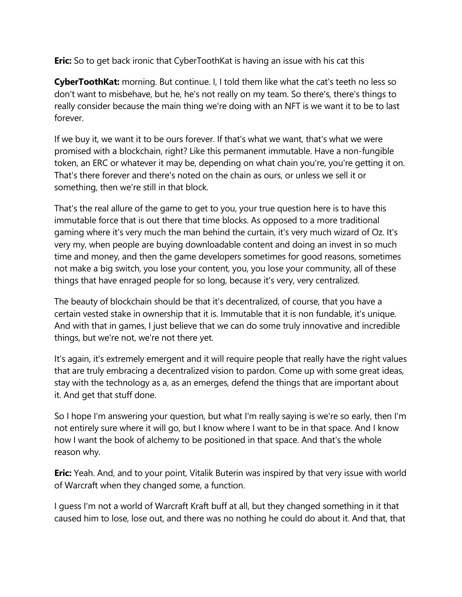**Eric:** So to get back ironic that CyberToothKat is having an issue with his cat this

**CyberToothKat:** morning. But continue. I, I told them like what the cat's teeth no less so don't want to misbehave, but he, he's not really on my team. So there's, there's things to really consider because the main thing we're doing with an NFT is we want it to be to last forever.

If we buy it, we want it to be ours forever. If that's what we want, that's what we were promised with a blockchain, right? Like this permanent immutable. Have a non-fungible token, an ERC or whatever it may be, depending on what chain you're, you're getting it on. That's there forever and there's noted on the chain as ours, or unless we sell it or something, then we're still in that block.

That's the real allure of the game to get to you, your true question here is to have this immutable force that is out there that time blocks. As opposed to a more traditional gaming where it's very much the man behind the curtain, it's very much wizard of Oz. It's very my, when people are buying downloadable content and doing an invest in so much time and money, and then the game developers sometimes for good reasons, sometimes not make a big switch, you lose your content, you, you lose your community, all of these things that have enraged people for so long, because it's very, very centralized.

The beauty of blockchain should be that it's decentralized, of course, that you have a certain vested stake in ownership that it is. Immutable that it is non fundable, it's unique. And with that in games, I just believe that we can do some truly innovative and incredible things, but we're not, we're not there yet.

It's again, it's extremely emergent and it will require people that really have the right values that are truly embracing a decentralized vision to pardon. Come up with some great ideas, stay with the technology as a, as an emerges, defend the things that are important about it. And get that stuff done.

So I hope I'm answering your question, but what I'm really saying is we're so early, then I'm not entirely sure where it will go, but I know where I want to be in that space. And I know how I want the book of alchemy to be positioned in that space. And that's the whole reason why.

**Eric:** Yeah. And, and to your point, Vitalik Buterin was inspired by that very issue with world of Warcraft when they changed some, a function.

I guess I'm not a world of Warcraft Kraft buff at all, but they changed something in it that caused him to lose, lose out, and there was no nothing he could do about it. And that, that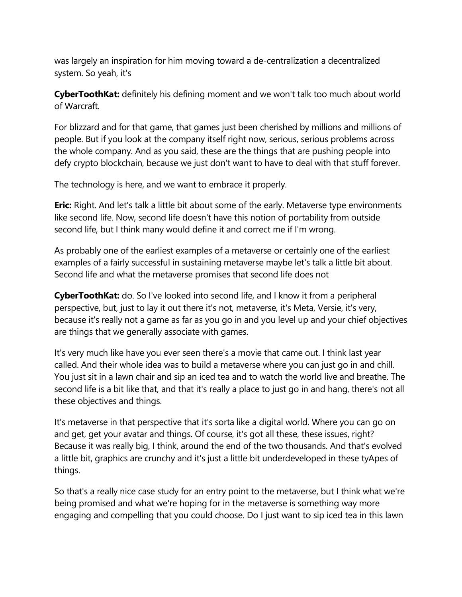was largely an inspiration for him moving toward a de-centralization a decentralized system. So yeah, it's

**CyberToothKat:** definitely his defining moment and we won't talk too much about world of Warcraft.

For blizzard and for that game, that games just been cherished by millions and millions of people. But if you look at the company itself right now, serious, serious problems across the whole company. And as you said, these are the things that are pushing people into defy crypto blockchain, because we just don't want to have to deal with that stuff forever.

The technology is here, and we want to embrace it properly.

**Eric:** Right. And let's talk a little bit about some of the early. Metaverse type environments like second life. Now, second life doesn't have this notion of portability from outside second life, but I think many would define it and correct me if I'm wrong.

As probably one of the earliest examples of a metaverse or certainly one of the earliest examples of a fairly successful in sustaining metaverse maybe let's talk a little bit about. Second life and what the metaverse promises that second life does not

**CyberToothKat:** do. So I've looked into second life, and I know it from a peripheral perspective, but, just to lay it out there it's not, metaverse, it's Meta, Versie, it's very, because it's really not a game as far as you go in and you level up and your chief objectives are things that we generally associate with games.

It's very much like have you ever seen there's a movie that came out. I think last year called. And their whole idea was to build a metaverse where you can just go in and chill. You just sit in a lawn chair and sip an iced tea and to watch the world live and breathe. The second life is a bit like that, and that it's really a place to just go in and hang, there's not all these objectives and things.

It's metaverse in that perspective that it's sorta like a digital world. Where you can go on and get, get your avatar and things. Of course, it's got all these, these issues, right? Because it was really big, I think, around the end of the two thousands. And that's evolved a little bit, graphics are crunchy and it's just a little bit underdeveloped in these tyApes of things.

So that's a really nice case study for an entry point to the metaverse, but I think what we're being promised and what we're hoping for in the metaverse is something way more engaging and compelling that you could choose. Do I just want to sip iced tea in this lawn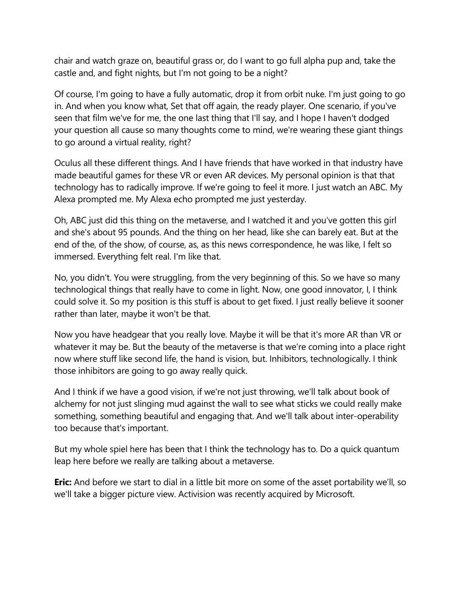chair and watch graze on, beautiful grass or, do I want to go full alpha pup and, take the castle and, and fight nights, but I'm not going to be a night?

Of course, I'm going to have a fully automatic, drop it from orbit nuke. I'm just going to go in. And when you know what, Set that off again, the ready player. One scenario, if you've seen that film we've for me, the one last thing that I'll say, and I hope I haven't dodged your question all cause so many thoughts come to mind, we're wearing these giant things to go around a virtual reality, right?

Oculus all these different things. And I have friends that have worked in that industry have made beautiful games for these VR or even AR devices. My personal opinion is that that technology has to radically improve. If we're going to feel it more. I just watch an ABC. My Alexa prompted me. My Alexa echo prompted me just yesterday.

Oh, ABC just did this thing on the metaverse, and I watched it and you've gotten this girl and she's about 95 pounds. And the thing on her head, like she can barely eat. But at the end of the, of the show, of course, as, as this news correspondence, he was like, I felt so immersed. Everything felt real. I'm like that.

No, you didn't. You were struggling, from the very beginning of this. So we have so many technological things that really have to come in light. Now, one good innovator, I, I think could solve it. So my position is this stuff is about to get fixed. I just really believe it sooner rather than later, maybe it won't be that.

Now you have headgear that you really love. Maybe it will be that it's more AR than VR or whatever it may be. But the beauty of the metaverse is that we're coming into a place right now where stuff like second life, the hand is vision, but. Inhibitors, technologically. I think those inhibitors are going to go away really quick.

And I think if we have a good vision, if we're not just throwing, we'll talk about book of alchemy for not just slinging mud against the wall to see what sticks we could really make something, something beautiful and engaging that. And we'll talk about inter-operability too because that's important.

But my whole spiel here has been that I think the technology has to. Do a quick quantum leap here before we really are talking about a metaverse.

**Eric:** And before we start to dial in a little bit more on some of the asset portability we'll, so we'll take a bigger picture view. Activision was recently acquired by Microsoft.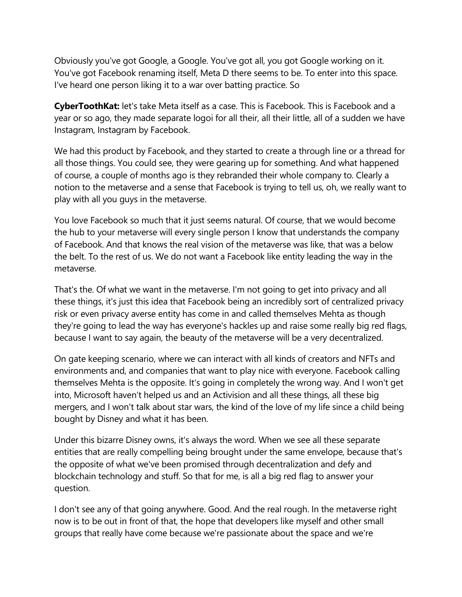Obviously you've got Google, a Google. You've got all, you got Google working on it. You've got Facebook renaming itself, Meta D there seems to be. To enter into this space. I've heard one person liking it to a war over batting practice. So

**CyberToothKat:** let's take Meta itself as a case. This is Facebook. This is Facebook and a year or so ago, they made separate logoi for all their, all their little, all of a sudden we have Instagram, Instagram by Facebook.

We had this product by Facebook, and they started to create a through line or a thread for all those things. You could see, they were gearing up for something. And what happened of course, a couple of months ago is they rebranded their whole company to. Clearly a notion to the metaverse and a sense that Facebook is trying to tell us, oh, we really want to play with all you guys in the metaverse.

You love Facebook so much that it just seems natural. Of course, that we would become the hub to your metaverse will every single person I know that understands the company of Facebook. And that knows the real vision of the metaverse was like, that was a below the belt. To the rest of us. We do not want a Facebook like entity leading the way in the metaverse.

That's the. Of what we want in the metaverse. I'm not going to get into privacy and all these things, it's just this idea that Facebook being an incredibly sort of centralized privacy risk or even privacy averse entity has come in and called themselves Mehta as though they're going to lead the way has everyone's hackles up and raise some really big red flags, because I want to say again, the beauty of the metaverse will be a very decentralized.

On gate keeping scenario, where we can interact with all kinds of creators and NFTs and environments and, and companies that want to play nice with everyone. Facebook calling themselves Mehta is the opposite. It's going in completely the wrong way. And I won't get into, Microsoft haven't helped us and an Activision and all these things, all these big mergers, and I won't talk about star wars, the kind of the love of my life since a child being bought by Disney and what it has been.

Under this bizarre Disney owns, it's always the word. When we see all these separate entities that are really compelling being brought under the same envelope, because that's the opposite of what we've been promised through decentralization and defy and blockchain technology and stuff. So that for me, is all a big red flag to answer your question.

I don't see any of that going anywhere. Good. And the real rough. In the metaverse right now is to be out in front of that, the hope that developers like myself and other small groups that really have come because we're passionate about the space and we're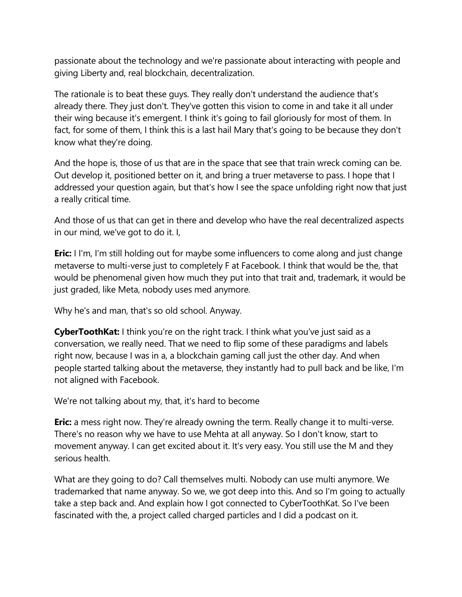passionate about the technology and we're passionate about interacting with people and giving Liberty and, real blockchain, decentralization.

The rationale is to beat these guys. They really don't understand the audience that's already there. They just don't. They've gotten this vision to come in and take it all under their wing because it's emergent. I think it's going to fail gloriously for most of them. In fact, for some of them, I think this is a last hail Mary that's going to be because they don't know what they're doing.

And the hope is, those of us that are in the space that see that train wreck coming can be. Out develop it, positioned better on it, and bring a truer metaverse to pass. I hope that I addressed your question again, but that's how I see the space unfolding right now that just a really critical time.

And those of us that can get in there and develop who have the real decentralized aspects in our mind, we've got to do it. I,

**Eric:** I I'm, I'm still holding out for maybe some influencers to come along and just change metaverse to multi-verse just to completely F at Facebook. I think that would be the, that would be phenomenal given how much they put into that trait and, trademark, it would be just graded, like Meta, nobody uses med anymore.

Why he's and man, that's so old school. Anyway.

**CyberToothKat:** I think you're on the right track. I think what you've just said as a conversation, we really need. That we need to flip some of these paradigms and labels right now, because I was in a, a blockchain gaming call just the other day. And when people started talking about the metaverse, they instantly had to pull back and be like, I'm not aligned with Facebook.

We're not talking about my, that, it's hard to become

**Eric:** a mess right now. They're already owning the term. Really change it to multi-verse. There's no reason why we have to use Mehta at all anyway. So I don't know, start to movement anyway. I can get excited about it. It's very easy. You still use the M and they serious health.

What are they going to do? Call themselves multi. Nobody can use multi anymore. We trademarked that name anyway. So we, we got deep into this. And so I'm going to actually take a step back and. And explain how I got connected to CyberToothKat. So I've been fascinated with the, a project called charged particles and I did a podcast on it.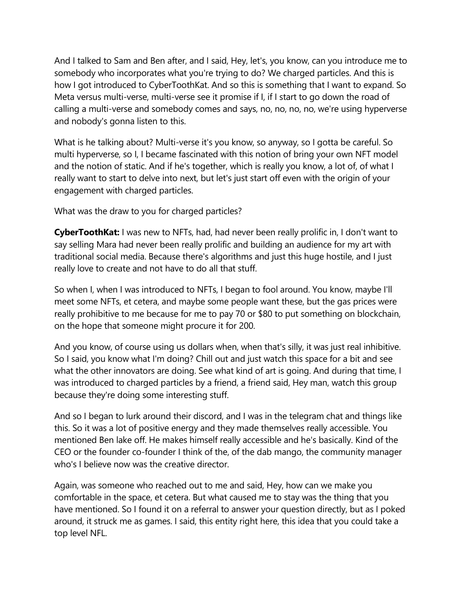And I talked to Sam and Ben after, and I said, Hey, let's, you know, can you introduce me to somebody who incorporates what you're trying to do? We charged particles. And this is how I got introduced to CyberToothKat. And so this is something that I want to expand. So Meta versus multi-verse, multi-verse see it promise if I, if I start to go down the road of calling a multi-verse and somebody comes and says, no, no, no, no, we're using hyperverse and nobody's gonna listen to this.

What is he talking about? Multi-verse it's you know, so anyway, so I gotta be careful. So multi hyperverse, so I, I became fascinated with this notion of bring your own NFT model and the notion of static. And if he's together, which is really you know, a lot of, of what I really want to start to delve into next, but let's just start off even with the origin of your engagement with charged particles.

What was the draw to you for charged particles?

**CyberToothKat:** I was new to NFTs, had, had never been really prolific in, I don't want to say selling Mara had never been really prolific and building an audience for my art with traditional social media. Because there's algorithms and just this huge hostile, and I just really love to create and not have to do all that stuff.

So when I, when I was introduced to NFTs, I began to fool around. You know, maybe I'll meet some NFTs, et cetera, and maybe some people want these, but the gas prices were really prohibitive to me because for me to pay 70 or \$80 to put something on blockchain, on the hope that someone might procure it for 200.

And you know, of course using us dollars when, when that's silly, it was just real inhibitive. So I said, you know what I'm doing? Chill out and just watch this space for a bit and see what the other innovators are doing. See what kind of art is going. And during that time, I was introduced to charged particles by a friend, a friend said, Hey man, watch this group because they're doing some interesting stuff.

And so I began to lurk around their discord, and I was in the telegram chat and things like this. So it was a lot of positive energy and they made themselves really accessible. You mentioned Ben lake off. He makes himself really accessible and he's basically. Kind of the CEO or the founder co-founder I think of the, of the dab mango, the community manager who's I believe now was the creative director.

Again, was someone who reached out to me and said, Hey, how can we make you comfortable in the space, et cetera. But what caused me to stay was the thing that you have mentioned. So I found it on a referral to answer your question directly, but as I poked around, it struck me as games. I said, this entity right here, this idea that you could take a top level NFL.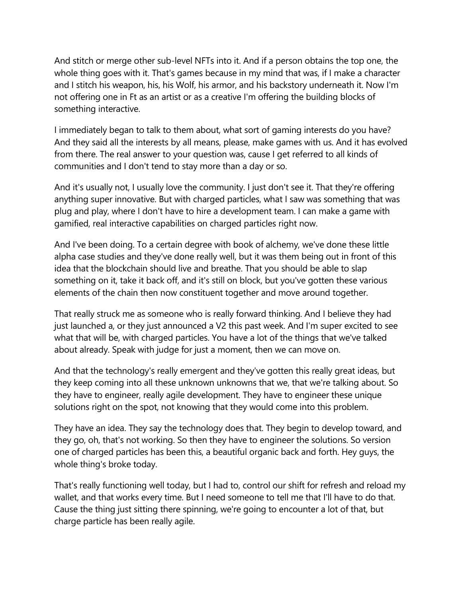And stitch or merge other sub-level NFTs into it. And if a person obtains the top one, the whole thing goes with it. That's games because in my mind that was, if I make a character and I stitch his weapon, his, his Wolf, his armor, and his backstory underneath it. Now I'm not offering one in Ft as an artist or as a creative I'm offering the building blocks of something interactive.

I immediately began to talk to them about, what sort of gaming interests do you have? And they said all the interests by all means, please, make games with us. And it has evolved from there. The real answer to your question was, cause I get referred to all kinds of communities and I don't tend to stay more than a day or so.

And it's usually not, I usually love the community. I just don't see it. That they're offering anything super innovative. But with charged particles, what I saw was something that was plug and play, where I don't have to hire a development team. I can make a game with gamified, real interactive capabilities on charged particles right now.

And I've been doing. To a certain degree with book of alchemy, we've done these little alpha case studies and they've done really well, but it was them being out in front of this idea that the blockchain should live and breathe. That you should be able to slap something on it, take it back off, and it's still on block, but you've gotten these various elements of the chain then now constituent together and move around together.

That really struck me as someone who is really forward thinking. And I believe they had just launched a, or they just announced a V2 this past week. And I'm super excited to see what that will be, with charged particles. You have a lot of the things that we've talked about already. Speak with judge for just a moment, then we can move on.

And that the technology's really emergent and they've gotten this really great ideas, but they keep coming into all these unknown unknowns that we, that we're talking about. So they have to engineer, really agile development. They have to engineer these unique solutions right on the spot, not knowing that they would come into this problem.

They have an idea. They say the technology does that. They begin to develop toward, and they go, oh, that's not working. So then they have to engineer the solutions. So version one of charged particles has been this, a beautiful organic back and forth. Hey guys, the whole thing's broke today.

That's really functioning well today, but I had to, control our shift for refresh and reload my wallet, and that works every time. But I need someone to tell me that I'll have to do that. Cause the thing just sitting there spinning, we're going to encounter a lot of that, but charge particle has been really agile.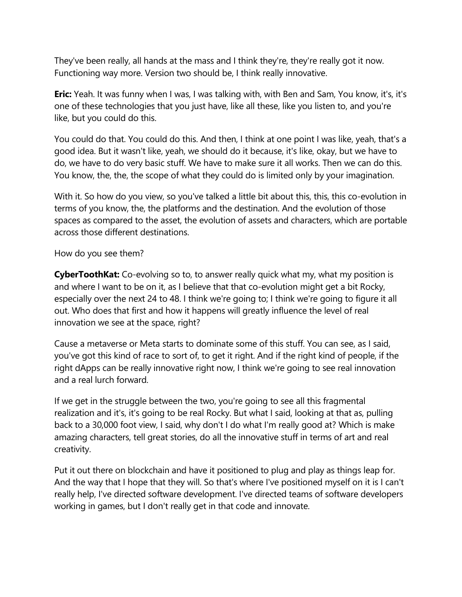They've been really, all hands at the mass and I think they're, they're really got it now. Functioning way more. Version two should be, I think really innovative.

**Eric:** Yeah. It was funny when I was, I was talking with, with Ben and Sam, You know, it's, it's one of these technologies that you just have, like all these, like you listen to, and you're like, but you could do this.

You could do that. You could do this. And then, I think at one point I was like, yeah, that's a good idea. But it wasn't like, yeah, we should do it because, it's like, okay, but we have to do, we have to do very basic stuff. We have to make sure it all works. Then we can do this. You know, the, the, the scope of what they could do is limited only by your imagination.

With it. So how do you view, so you've talked a little bit about this, this, this co-evolution in terms of you know, the, the platforms and the destination. And the evolution of those spaces as compared to the asset, the evolution of assets and characters, which are portable across those different destinations.

## How do you see them?

**CyberToothKat:** Co-evolving so to, to answer really quick what my, what my position is and where I want to be on it, as I believe that that co-evolution might get a bit Rocky, especially over the next 24 to 48. I think we're going to; I think we're going to figure it all out. Who does that first and how it happens will greatly influence the level of real innovation we see at the space, right?

Cause a metaverse or Meta starts to dominate some of this stuff. You can see, as I said, you've got this kind of race to sort of, to get it right. And if the right kind of people, if the right dApps can be really innovative right now, I think we're going to see real innovation and a real lurch forward.

If we get in the struggle between the two, you're going to see all this fragmental realization and it's, it's going to be real Rocky. But what I said, looking at that as, pulling back to a 30,000 foot view, I said, why don't I do what I'm really good at? Which is make amazing characters, tell great stories, do all the innovative stuff in terms of art and real creativity.

Put it out there on blockchain and have it positioned to plug and play as things leap for. And the way that I hope that they will. So that's where I've positioned myself on it is I can't really help, I've directed software development. I've directed teams of software developers working in games, but I don't really get in that code and innovate.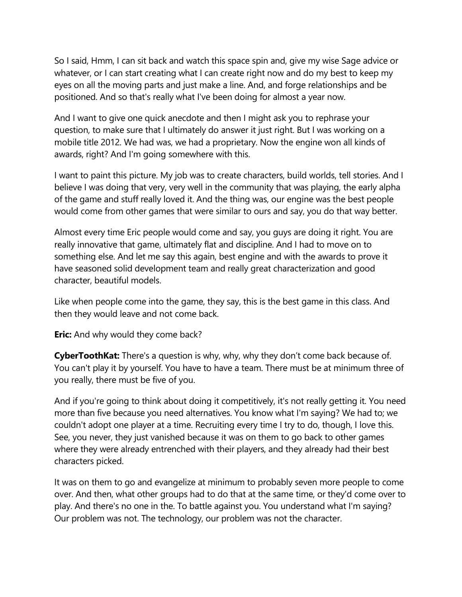So I said, Hmm, I can sit back and watch this space spin and, give my wise Sage advice or whatever, or I can start creating what I can create right now and do my best to keep my eyes on all the moving parts and just make a line. And, and forge relationships and be positioned. And so that's really what I've been doing for almost a year now.

And I want to give one quick anecdote and then I might ask you to rephrase your question, to make sure that I ultimately do answer it just right. But I was working on a mobile title 2012. We had was, we had a proprietary. Now the engine won all kinds of awards, right? And I'm going somewhere with this.

I want to paint this picture. My job was to create characters, build worlds, tell stories. And I believe I was doing that very, very well in the community that was playing, the early alpha of the game and stuff really loved it. And the thing was, our engine was the best people would come from other games that were similar to ours and say, you do that way better.

Almost every time Eric people would come and say, you guys are doing it right. You are really innovative that game, ultimately flat and discipline. And I had to move on to something else. And let me say this again, best engine and with the awards to prove it have seasoned solid development team and really great characterization and good character, beautiful models.

Like when people come into the game, they say, this is the best game in this class. And then they would leave and not come back.

**Eric:** And why would they come back?

**CyberToothKat:** There's a question is why, why, why they don't come back because of. You can't play it by yourself. You have to have a team. There must be at minimum three of you really, there must be five of you.

And if you're going to think about doing it competitively, it's not really getting it. You need more than five because you need alternatives. You know what I'm saying? We had to; we couldn't adopt one player at a time. Recruiting every time I try to do, though, I love this. See, you never, they just vanished because it was on them to go back to other games where they were already entrenched with their players, and they already had their best characters picked.

It was on them to go and evangelize at minimum to probably seven more people to come over. And then, what other groups had to do that at the same time, or they'd come over to play. And there's no one in the. To battle against you. You understand what I'm saying? Our problem was not. The technology, our problem was not the character.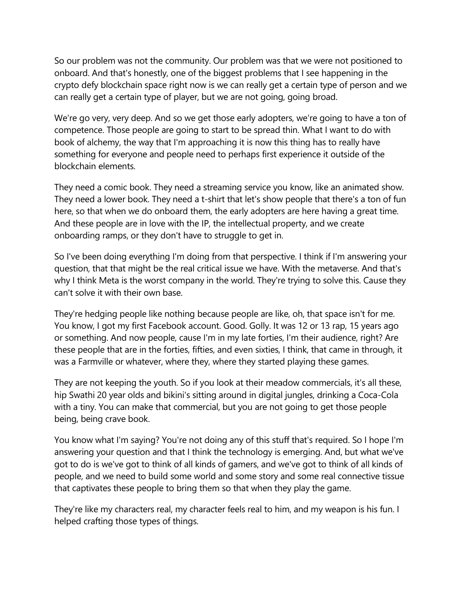So our problem was not the community. Our problem was that we were not positioned to onboard. And that's honestly, one of the biggest problems that I see happening in the crypto defy blockchain space right now is we can really get a certain type of person and we can really get a certain type of player, but we are not going, going broad.

We're go very, very deep. And so we get those early adopters, we're going to have a ton of competence. Those people are going to start to be spread thin. What I want to do with book of alchemy, the way that I'm approaching it is now this thing has to really have something for everyone and people need to perhaps first experience it outside of the blockchain elements.

They need a comic book. They need a streaming service you know, like an animated show. They need a lower book. They need a t-shirt that let's show people that there's a ton of fun here, so that when we do onboard them, the early adopters are here having a great time. And these people are in love with the IP, the intellectual property, and we create onboarding ramps, or they don't have to struggle to get in.

So I've been doing everything I'm doing from that perspective. I think if I'm answering your question, that that might be the real critical issue we have. With the metaverse. And that's why I think Meta is the worst company in the world. They're trying to solve this. Cause they can't solve it with their own base.

They're hedging people like nothing because people are like, oh, that space isn't for me. You know, I got my first Facebook account. Good. Golly. It was 12 or 13 rap, 15 years ago or something. And now people, cause I'm in my late forties, I'm their audience, right? Are these people that are in the forties, fifties, and even sixties, I think, that came in through, it was a Farmville or whatever, where they, where they started playing these games.

They are not keeping the youth. So if you look at their meadow commercials, it's all these, hip Swathi 20 year olds and bikini's sitting around in digital jungles, drinking a Coca-Cola with a tiny. You can make that commercial, but you are not going to get those people being, being crave book.

You know what I'm saying? You're not doing any of this stuff that's required. So I hope I'm answering your question and that I think the technology is emerging. And, but what we've got to do is we've got to think of all kinds of gamers, and we've got to think of all kinds of people, and we need to build some world and some story and some real connective tissue that captivates these people to bring them so that when they play the game.

They're like my characters real, my character feels real to him, and my weapon is his fun. I helped crafting those types of things.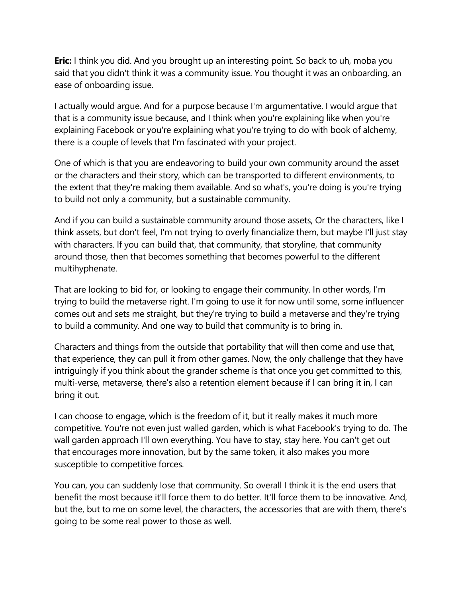**Eric:** I think you did. And you brought up an interesting point. So back to uh, moba you said that you didn't think it was a community issue. You thought it was an onboarding, an ease of onboarding issue.

I actually would argue. And for a purpose because I'm argumentative. I would argue that that is a community issue because, and I think when you're explaining like when you're explaining Facebook or you're explaining what you're trying to do with book of alchemy, there is a couple of levels that I'm fascinated with your project.

One of which is that you are endeavoring to build your own community around the asset or the characters and their story, which can be transported to different environments, to the extent that they're making them available. And so what's, you're doing is you're trying to build not only a community, but a sustainable community.

And if you can build a sustainable community around those assets, Or the characters, like I think assets, but don't feel, I'm not trying to overly financialize them, but maybe I'll just stay with characters. If you can build that, that community, that storyline, that community around those, then that becomes something that becomes powerful to the different multihyphenate.

That are looking to bid for, or looking to engage their community. In other words, I'm trying to build the metaverse right. I'm going to use it for now until some, some influencer comes out and sets me straight, but they're trying to build a metaverse and they're trying to build a community. And one way to build that community is to bring in.

Characters and things from the outside that portability that will then come and use that, that experience, they can pull it from other games. Now, the only challenge that they have intriguingly if you think about the grander scheme is that once you get committed to this, multi-verse, metaverse, there's also a retention element because if I can bring it in, I can bring it out.

I can choose to engage, which is the freedom of it, but it really makes it much more competitive. You're not even just walled garden, which is what Facebook's trying to do. The wall garden approach I'll own everything. You have to stay, stay here. You can't get out that encourages more innovation, but by the same token, it also makes you more susceptible to competitive forces.

You can, you can suddenly lose that community. So overall I think it is the end users that benefit the most because it'll force them to do better. It'll force them to be innovative. And, but the, but to me on some level, the characters, the accessories that are with them, there's going to be some real power to those as well.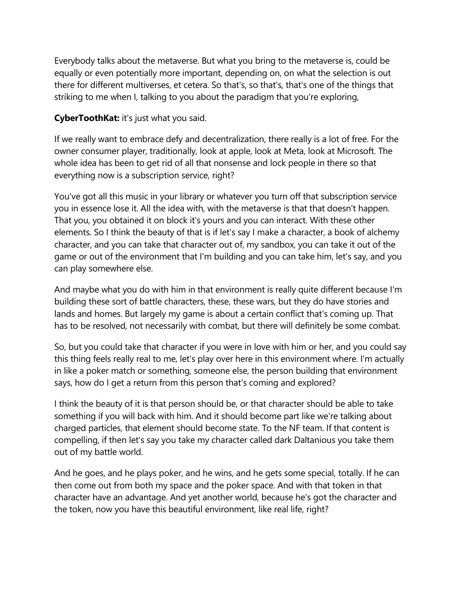Everybody talks about the metaverse. But what you bring to the metaverse is, could be equally or even potentially more important, depending on, on what the selection is out there for different multiverses, et cetera. So that's, so that's, that's one of the things that striking to me when I, talking to you about the paradigm that you're exploring,

## **CyberToothKat:** it's just what you said.

If we really want to embrace defy and decentralization, there really is a lot of free. For the owner consumer player, traditionally, look at apple, look at Meta, look at Microsoft. The whole idea has been to get rid of all that nonsense and lock people in there so that everything now is a subscription service, right?

You've got all this music in your library or whatever you turn off that subscription service you in essence lose it. All the idea with, with the metaverse is that that doesn't happen. That you, you obtained it on block it's yours and you can interact. With these other elements. So I think the beauty of that is if let's say I make a character, a book of alchemy character, and you can take that character out of, my sandbox, you can take it out of the game or out of the environment that I'm building and you can take him, let's say, and you can play somewhere else.

And maybe what you do with him in that environment is really quite different because I'm building these sort of battle characters, these, these wars, but they do have stories and lands and homes. But largely my game is about a certain conflict that's coming up. That has to be resolved, not necessarily with combat, but there will definitely be some combat.

So, but you could take that character if you were in love with him or her, and you could say this thing feels really real to me, let's play over here in this environment where. I'm actually in like a poker match or something, someone else, the person building that environment says, how do I get a return from this person that's coming and explored?

I think the beauty of it is that person should be, or that character should be able to take something if you will back with him. And it should become part like we're talking about charged particles, that element should become state. To the NF team. If that content is compelling, if then let's say you take my character called dark Daltanious you take them out of my battle world.

And he goes, and he plays poker, and he wins, and he gets some special, totally. If he can then come out from both my space and the poker space. And with that token in that character have an advantage. And yet another world, because he's got the character and the token, now you have this beautiful environment, like real life, right?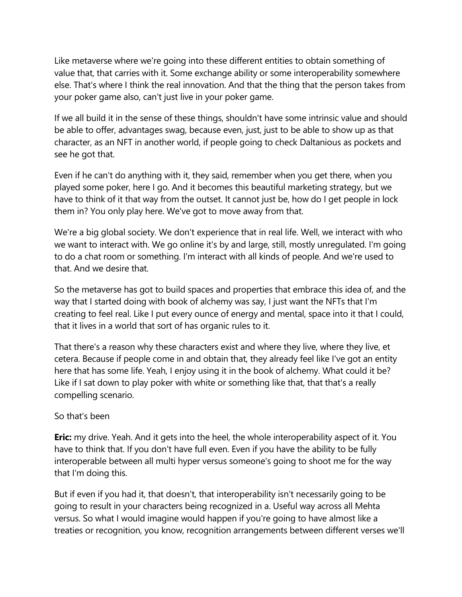Like metaverse where we're going into these different entities to obtain something of value that, that carries with it. Some exchange ability or some interoperability somewhere else. That's where I think the real innovation. And that the thing that the person takes from your poker game also, can't just live in your poker game.

If we all build it in the sense of these things, shouldn't have some intrinsic value and should be able to offer, advantages swag, because even, just, just to be able to show up as that character, as an NFT in another world, if people going to check Daltanious as pockets and see he got that.

Even if he can't do anything with it, they said, remember when you get there, when you played some poker, here I go. And it becomes this beautiful marketing strategy, but we have to think of it that way from the outset. It cannot just be, how do I get people in lock them in? You only play here. We've got to move away from that.

We're a big global society. We don't experience that in real life. Well, we interact with who we want to interact with. We go online it's by and large, still, mostly unregulated. I'm going to do a chat room or something. I'm interact with all kinds of people. And we're used to that. And we desire that.

So the metaverse has got to build spaces and properties that embrace this idea of, and the way that I started doing with book of alchemy was say, I just want the NFTs that I'm creating to feel real. Like I put every ounce of energy and mental, space into it that I could, that it lives in a world that sort of has organic rules to it.

That there's a reason why these characters exist and where they live, where they live, et cetera. Because if people come in and obtain that, they already feel like I've got an entity here that has some life. Yeah, I enjoy using it in the book of alchemy. What could it be? Like if I sat down to play poker with white or something like that, that that's a really compelling scenario.

## So that's been

**Eric:** my drive. Yeah. And it gets into the heel, the whole interoperability aspect of it. You have to think that. If you don't have full even. Even if you have the ability to be fully interoperable between all multi hyper versus someone's going to shoot me for the way that I'm doing this.

But if even if you had it, that doesn't, that interoperability isn't necessarily going to be going to result in your characters being recognized in a. Useful way across all Mehta versus. So what I would imagine would happen if you're going to have almost like a treaties or recognition, you know, recognition arrangements between different verses we'll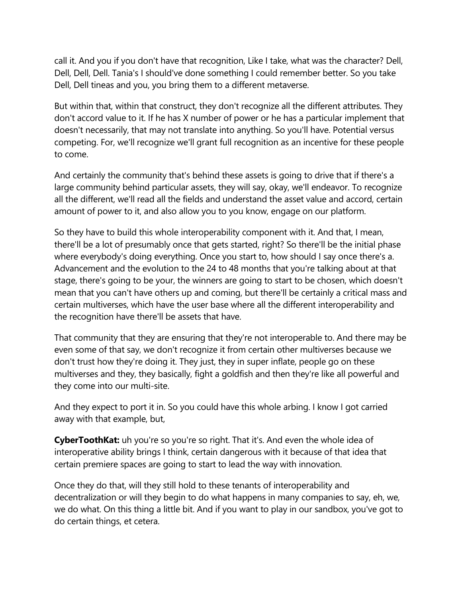call it. And you if you don't have that recognition, Like I take, what was the character? Dell, Dell, Dell, Dell. Tania's I should've done something I could remember better. So you take Dell, Dell tineas and you, you bring them to a different metaverse.

But within that, within that construct, they don't recognize all the different attributes. They don't accord value to it. If he has X number of power or he has a particular implement that doesn't necessarily, that may not translate into anything. So you'll have. Potential versus competing. For, we'll recognize we'll grant full recognition as an incentive for these people to come.

And certainly the community that's behind these assets is going to drive that if there's a large community behind particular assets, they will say, okay, we'll endeavor. To recognize all the different, we'll read all the fields and understand the asset value and accord, certain amount of power to it, and also allow you to you know, engage on our platform.

So they have to build this whole interoperability component with it. And that, I mean, there'll be a lot of presumably once that gets started, right? So there'll be the initial phase where everybody's doing everything. Once you start to, how should I say once there's a. Advancement and the evolution to the 24 to 48 months that you're talking about at that stage, there's going to be your, the winners are going to start to be chosen, which doesn't mean that you can't have others up and coming, but there'll be certainly a critical mass and certain multiverses, which have the user base where all the different interoperability and the recognition have there'll be assets that have.

That community that they are ensuring that they're not interoperable to. And there may be even some of that say, we don't recognize it from certain other multiverses because we don't trust how they're doing it. They just, they in super inflate, people go on these multiverses and they, they basically, fight a goldfish and then they're like all powerful and they come into our multi-site.

And they expect to port it in. So you could have this whole arbing. I know I got carried away with that example, but,

**CyberToothKat:** uh you're so you're so right. That it's. And even the whole idea of interoperative ability brings I think, certain dangerous with it because of that idea that certain premiere spaces are going to start to lead the way with innovation.

Once they do that, will they still hold to these tenants of interoperability and decentralization or will they begin to do what happens in many companies to say, eh, we, we do what. On this thing a little bit. And if you want to play in our sandbox, you've got to do certain things, et cetera.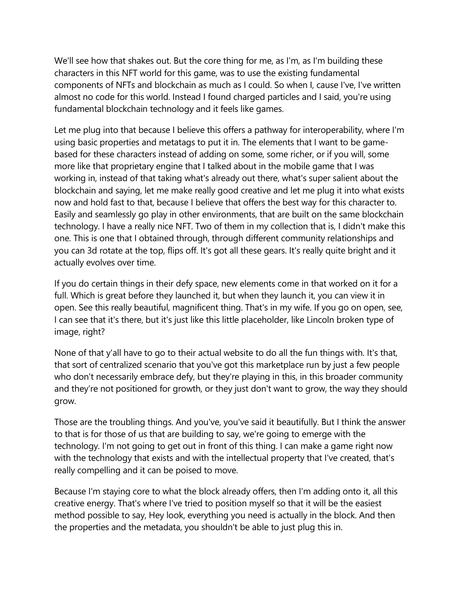We'll see how that shakes out. But the core thing for me, as I'm, as I'm building these characters in this NFT world for this game, was to use the existing fundamental components of NFTs and blockchain as much as I could. So when I, cause I've, I've written almost no code for this world. Instead I found charged particles and I said, you're using fundamental blockchain technology and it feels like games.

Let me plug into that because I believe this offers a pathway for interoperability, where I'm using basic properties and metatags to put it in. The elements that I want to be gamebased for these characters instead of adding on some, some richer, or if you will, some more like that proprietary engine that I talked about in the mobile game that I was working in, instead of that taking what's already out there, what's super salient about the blockchain and saying, let me make really good creative and let me plug it into what exists now and hold fast to that, because I believe that offers the best way for this character to. Easily and seamlessly go play in other environments, that are built on the same blockchain technology. I have a really nice NFT. Two of them in my collection that is, I didn't make this one. This is one that I obtained through, through different community relationships and you can 3d rotate at the top, flips off. It's got all these gears. It's really quite bright and it actually evolves over time.

If you do certain things in their defy space, new elements come in that worked on it for a full. Which is great before they launched it, but when they launch it, you can view it in open. See this really beautiful, magnificent thing. That's in my wife. If you go on open, see, I can see that it's there, but it's just like this little placeholder, like Lincoln broken type of image, right?

None of that y'all have to go to their actual website to do all the fun things with. It's that, that sort of centralized scenario that you've got this marketplace run by just a few people who don't necessarily embrace defy, but they're playing in this, in this broader community and they're not positioned for growth, or they just don't want to grow, the way they should grow.

Those are the troubling things. And you've, you've said it beautifully. But I think the answer to that is for those of us that are building to say, we're going to emerge with the technology. I'm not going to get out in front of this thing. I can make a game right now with the technology that exists and with the intellectual property that I've created, that's really compelling and it can be poised to move.

Because I'm staying core to what the block already offers, then I'm adding onto it, all this creative energy. That's where I've tried to position myself so that it will be the easiest method possible to say, Hey look, everything you need is actually in the block. And then the properties and the metadata, you shouldn't be able to just plug this in.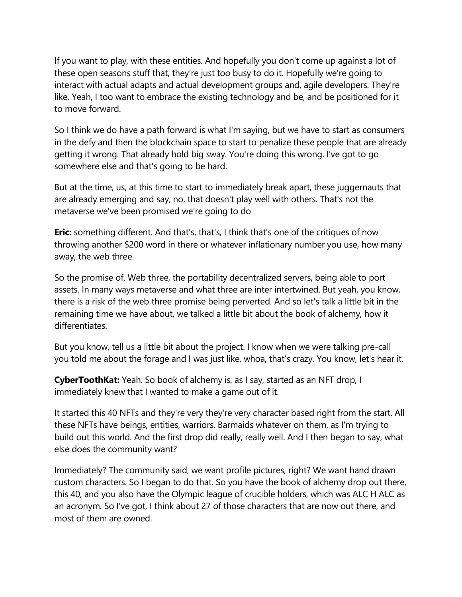If you want to play, with these entities. And hopefully you don't come up against a lot of these open seasons stuff that, they're just too busy to do it. Hopefully we're going to interact with actual adapts and actual development groups and, agile developers. They're like. Yeah, I too want to embrace the existing technology and be, and be positioned for it to move forward.

So I think we do have a path forward is what I'm saying, but we have to start as consumers in the defy and then the blockchain space to start to penalize these people that are already getting it wrong. That already hold big sway. You're doing this wrong. I've got to go somewhere else and that's going to be hard.

But at the time, us, at this time to start to immediately break apart, these juggernauts that are already emerging and say, no, that doesn't play well with others. That's not the metaverse we've been promised we're going to do

**Eric:** something different. And that's, that's, I think that's one of the critiques of now throwing another \$200 word in there or whatever inflationary number you use, how many away, the web three.

So the promise of. Web three, the portability decentralized servers, being able to port assets. In many ways metaverse and what three are inter intertwined. But yeah, you know, there is a risk of the web three promise being perverted. And so let's talk a little bit in the remaining time we have about, we talked a little bit about the book of alchemy, how it differentiates.

But you know, tell us a little bit about the project. I know when we were talking pre-call you told me about the forage and I was just like, whoa, that's crazy. You know, let's hear it.

**CyberToothKat:** Yeah. So book of alchemy is, as I say, started as an NFT drop, I immediately knew that I wanted to make a game out of it.

It started this 40 NFTs and they're very they're very character based right from the start. All these NFTs have beings, entities, warriors. Barmaids whatever on them, as I'm trying to build out this world. And the first drop did really, really well. And I then began to say, what else does the community want?

Immediately? The community said, we want profile pictures, right? We want hand drawn custom characters. So I began to do that. So you have the book of alchemy drop out there, this 40, and you also have the Olympic league of crucible holders, which was ALC H ALC as an acronym. So I've got, I think about 27 of those characters that are now out there, and most of them are owned.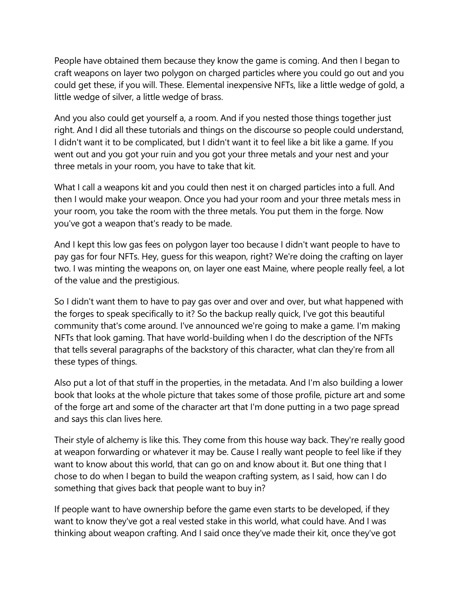People have obtained them because they know the game is coming. And then I began to craft weapons on layer two polygon on charged particles where you could go out and you could get these, if you will. These. Elemental inexpensive NFTs, like a little wedge of gold, a little wedge of silver, a little wedge of brass.

And you also could get yourself a, a room. And if you nested those things together just right. And I did all these tutorials and things on the discourse so people could understand, I didn't want it to be complicated, but I didn't want it to feel like a bit like a game. If you went out and you got your ruin and you got your three metals and your nest and your three metals in your room, you have to take that kit.

What I call a weapons kit and you could then nest it on charged particles into a full. And then I would make your weapon. Once you had your room and your three metals mess in your room, you take the room with the three metals. You put them in the forge. Now you've got a weapon that's ready to be made.

And I kept this low gas fees on polygon layer too because I didn't want people to have to pay gas for four NFTs. Hey, guess for this weapon, right? We're doing the crafting on layer two. I was minting the weapons on, on layer one east Maine, where people really feel, a lot of the value and the prestigious.

So I didn't want them to have to pay gas over and over and over, but what happened with the forges to speak specifically to it? So the backup really quick, I've got this beautiful community that's come around. I've announced we're going to make a game. I'm making NFTs that look gaming. That have world-building when I do the description of the NFTs that tells several paragraphs of the backstory of this character, what clan they're from all these types of things.

Also put a lot of that stuff in the properties, in the metadata. And I'm also building a lower book that looks at the whole picture that takes some of those profile, picture art and some of the forge art and some of the character art that I'm done putting in a two page spread and says this clan lives here.

Their style of alchemy is like this. They come from this house way back. They're really good at weapon forwarding or whatever it may be. Cause I really want people to feel like if they want to know about this world, that can go on and know about it. But one thing that I chose to do when I began to build the weapon crafting system, as I said, how can I do something that gives back that people want to buy in?

If people want to have ownership before the game even starts to be developed, if they want to know they've got a real vested stake in this world, what could have. And I was thinking about weapon crafting. And I said once they've made their kit, once they've got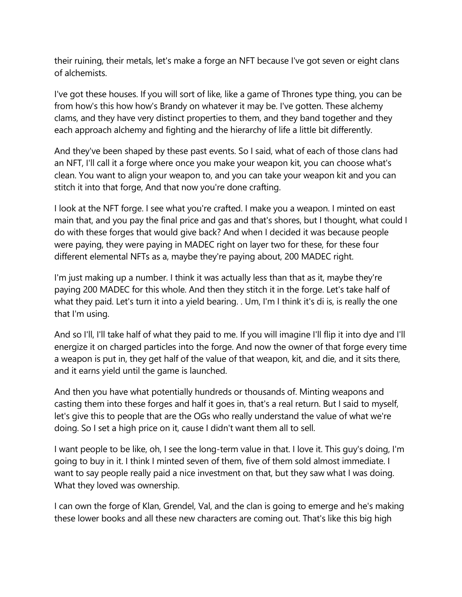their ruining, their metals, let's make a forge an NFT because I've got seven or eight clans of alchemists.

I've got these houses. If you will sort of like, like a game of Thrones type thing, you can be from how's this how how's Brandy on whatever it may be. I've gotten. These alchemy clams, and they have very distinct properties to them, and they band together and they each approach alchemy and fighting and the hierarchy of life a little bit differently.

And they've been shaped by these past events. So I said, what of each of those clans had an NFT, I'll call it a forge where once you make your weapon kit, you can choose what's clean. You want to align your weapon to, and you can take your weapon kit and you can stitch it into that forge, And that now you're done crafting.

I look at the NFT forge. I see what you're crafted. I make you a weapon. I minted on east main that, and you pay the final price and gas and that's shores, but I thought, what could I do with these forges that would give back? And when I decided it was because people were paying, they were paying in MADEC right on layer two for these, for these four different elemental NFTs as a, maybe they're paying about, 200 MADEC right.

I'm just making up a number. I think it was actually less than that as it, maybe they're paying 200 MADEC for this whole. And then they stitch it in the forge. Let's take half of what they paid. Let's turn it into a yield bearing. . Um, I'm I think it's di is, is really the one that I'm using.

And so I'll, I'll take half of what they paid to me. If you will imagine I'll flip it into dye and I'll energize it on charged particles into the forge. And now the owner of that forge every time a weapon is put in, they get half of the value of that weapon, kit, and die, and it sits there, and it earns yield until the game is launched.

And then you have what potentially hundreds or thousands of. Minting weapons and casting them into these forges and half it goes in, that's a real return. But I said to myself, let's give this to people that are the OGs who really understand the value of what we're doing. So I set a high price on it, cause I didn't want them all to sell.

I want people to be like, oh, I see the long-term value in that. I love it. This guy's doing, I'm going to buy in it. I think I minted seven of them, five of them sold almost immediate. I want to say people really paid a nice investment on that, but they saw what I was doing. What they loved was ownership.

I can own the forge of Klan, Grendel, Val, and the clan is going to emerge and he's making these lower books and all these new characters are coming out. That's like this big high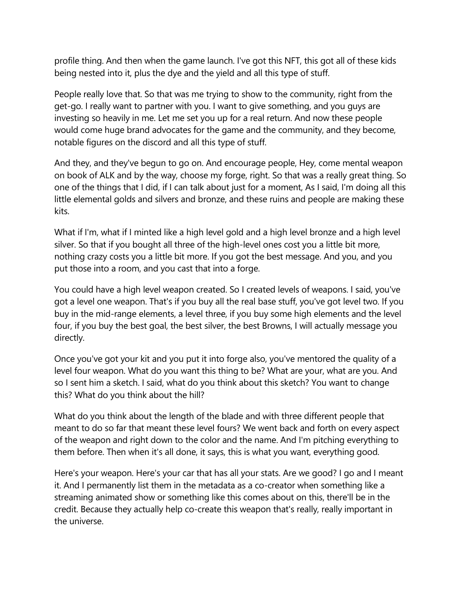profile thing. And then when the game launch. I've got this NFT, this got all of these kids being nested into it, plus the dye and the yield and all this type of stuff.

People really love that. So that was me trying to show to the community, right from the get-go. I really want to partner with you. I want to give something, and you guys are investing so heavily in me. Let me set you up for a real return. And now these people would come huge brand advocates for the game and the community, and they become, notable figures on the discord and all this type of stuff.

And they, and they've begun to go on. And encourage people, Hey, come mental weapon on book of ALK and by the way, choose my forge, right. So that was a really great thing. So one of the things that I did, if I can talk about just for a moment, As I said, I'm doing all this little elemental golds and silvers and bronze, and these ruins and people are making these kits.

What if I'm, what if I minted like a high level gold and a high level bronze and a high level silver. So that if you bought all three of the high-level ones cost you a little bit more, nothing crazy costs you a little bit more. If you got the best message. And you, and you put those into a room, and you cast that into a forge.

You could have a high level weapon created. So I created levels of weapons. I said, you've got a level one weapon. That's if you buy all the real base stuff, you've got level two. If you buy in the mid-range elements, a level three, if you buy some high elements and the level four, if you buy the best goal, the best silver, the best Browns, I will actually message you directly.

Once you've got your kit and you put it into forge also, you've mentored the quality of a level four weapon. What do you want this thing to be? What are your, what are you. And so I sent him a sketch. I said, what do you think about this sketch? You want to change this? What do you think about the hill?

What do you think about the length of the blade and with three different people that meant to do so far that meant these level fours? We went back and forth on every aspect of the weapon and right down to the color and the name. And I'm pitching everything to them before. Then when it's all done, it says, this is what you want, everything good.

Here's your weapon. Here's your car that has all your stats. Are we good? I go and I meant it. And I permanently list them in the metadata as a co-creator when something like a streaming animated show or something like this comes about on this, there'll be in the credit. Because they actually help co-create this weapon that's really, really important in the universe.